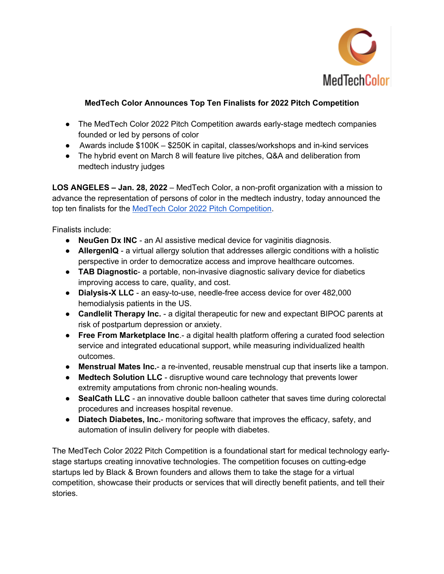

## **MedTech Color Announces Top Ten Finalists for 2022 Pitch Competition**

- The MedTech Color 2022 Pitch Competition awards early-stage medtech companies founded or led by persons of color
- Awards include  $$100K $250K$  in capital, classes/workshops and in-kind services
- The hybrid event on March 8 will feature live pitches, Q&A and deliberation from medtech industry judges

**LOS ANGELES – Jan. 28, 2022** – MedTech Color, a non-profit organization with a mission to advance the representation of persons of color in the medtech industry, today announced the top ten finalists for the MedTech Color 2022 Pitch Competition.

Finalists include:

- **NeuGen Dx INC**  an AI assistive medical device for vaginitis diagnosis.
- **AllergenIQ** a virtual allergy solution that addresses allergic conditions with a holistic perspective in order to democratize access and improve healthcare outcomes.
- **TAB Diagnostic** a portable, non-invasive diagnostic salivary device for diabetics improving access to care, quality, and cost.
- **Dialysis-X LLC**  an easy-to-use, needle-free access device for over 482,000 hemodialysis patients in the US.
- **Candlelit Therapy Inc.**  a digital therapeutic for new and expectant BIPOC parents at risk of postpartum depression or anxiety.
- **Free From Marketplace Inc.-** a digital health platform offering a curated food selection service and integrated educational support, while measuring individualized health outcomes.
- **Menstrual Mates Inc.** a re-invented, reusable menstrual cup that inserts like a tampon.
- **Medtech Solution LLC** disruptive wound care technology that prevents lower extremity amputations from chronic non-healing wounds.
- **SealCath LLC** an innovative double balloon catheter that saves time during colorectal procedures and increases hospital revenue.
- **Diatech Diabetes, Inc.** monitoring software that improves the efficacy, safety, and automation of insulin delivery for people with diabetes.

The MedTech Color 2022 Pitch Competition is a foundational start for medical technology earlystage startups creating innovative technologies. The competition focuses on cutting-edge startups led by Black & Brown founders and allows them to take the stage for a virtual competition, showcase their products or services that will directly benefit patients, and tell their stories.